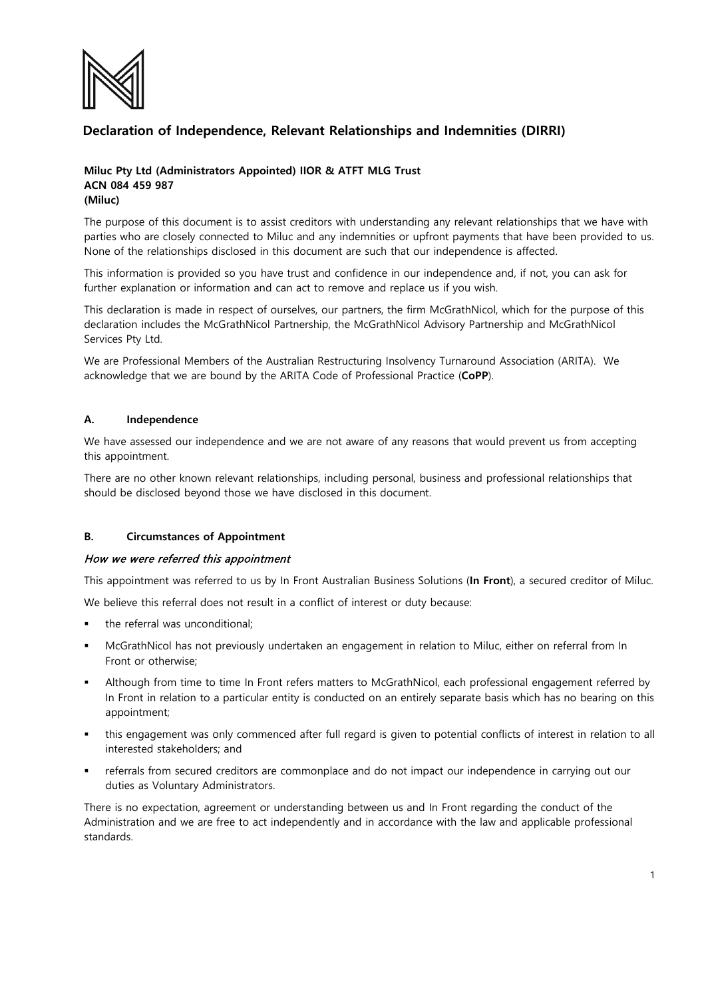

# **Declaration of Independence, Relevant Relationships and Indemnities (DIRRI)**

#### **Miluc Pty Ltd (Administrators Appointed) IIOR & ATFT MLG Trust ACN 084 459 987 (Miluc)**

The purpose of this document is to assist creditors with understanding any relevant relationships that we have with parties who are closely connected to Miluc and any indemnities or upfront payments that have been provided to us. None of the relationships disclosed in this document are such that our independence is affected.

This information is provided so you have trust and confidence in our independence and, if not, you can ask for further explanation or information and can act to remove and replace us if you wish.

This declaration is made in respect of ourselves, our partners, the firm McGrathNicol, which for the purpose of this declaration includes the McGrathNicol Partnership, the McGrathNicol Advisory Partnership and McGrathNicol Services Pty Ltd.

We are Professional Members of the Australian Restructuring Insolvency Turnaround Association (ARITA). We acknowledge that we are bound by the ARITA Code of Professional Practice (**CoPP**).

#### **A. Independence**

We have assessed our independence and we are not aware of any reasons that would prevent us from accepting this appointment.

There are no other known relevant relationships, including personal, business and professional relationships that should be disclosed beyond those we have disclosed in this document.

## **B. Circumstances of Appointment**

#### How we were referred this appointment

This appointment was referred to us by In Front Australian Business Solutions (**In Front**), a secured creditor of Miluc.

We believe this referral does not result in a conflict of interest or duty because:

- the referral was unconditional;
- McGrathNicol has not previously undertaken an engagement in relation to Miluc, either on referral from In Front or otherwise;
- Although from time to time In Front refers matters to McGrathNicol, each professional engagement referred by In Front in relation to a particular entity is conducted on an entirely separate basis which has no bearing on this appointment;
- this engagement was only commenced after full regard is given to potential conflicts of interest in relation to all interested stakeholders; and
- referrals from secured creditors are commonplace and do not impact our independence in carrying out our duties as Voluntary Administrators.

There is no expectation, agreement or understanding between us and In Front regarding the conduct of the Administration and we are free to act independently and in accordance with the law and applicable professional standards.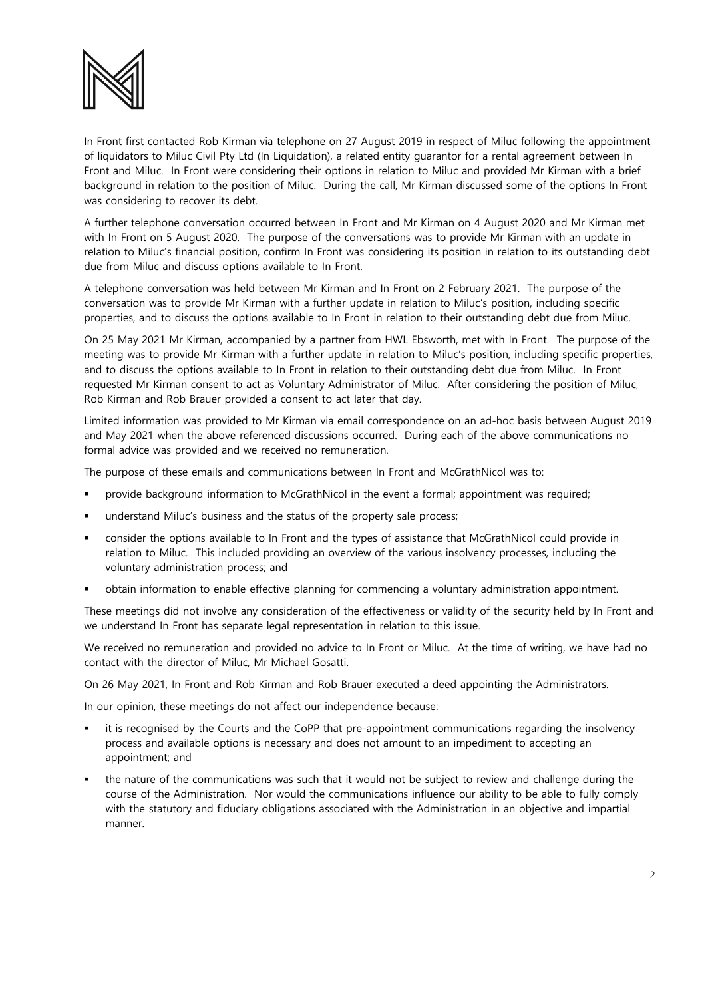

In Front first contacted Rob Kirman via telephone on 27 August 2019 in respect of Miluc following the appointment of liquidators to Miluc Civil Pty Ltd (In Liquidation), a related entity guarantor for a rental agreement between In Front and Miluc. In Front were considering their options in relation to Miluc and provided Mr Kirman with a brief background in relation to the position of Miluc. During the call, Mr Kirman discussed some of the options In Front was considering to recover its debt.

A further telephone conversation occurred between In Front and Mr Kirman on 4 August 2020 and Mr Kirman met with In Front on 5 August 2020. The purpose of the conversations was to provide Mr Kirman with an update in relation to Miluc's financial position, confirm In Front was considering its position in relation to its outstanding debt due from Miluc and discuss options available to In Front.

A telephone conversation was held between Mr Kirman and In Front on 2 February 2021. The purpose of the conversation was to provide Mr Kirman with a further update in relation to Miluc's position, including specific properties, and to discuss the options available to In Front in relation to their outstanding debt due from Miluc.

On 25 May 2021 Mr Kirman, accompanied by a partner from HWL Ebsworth, met with In Front. The purpose of the meeting was to provide Mr Kirman with a further update in relation to Miluc's position, including specific properties, and to discuss the options available to In Front in relation to their outstanding debt due from Miluc. In Front requested Mr Kirman consent to act as Voluntary Administrator of Miluc. After considering the position of Miluc, Rob Kirman and Rob Brauer provided a consent to act later that day.

Limited information was provided to Mr Kirman via email correspondence on an ad-hoc basis between August 2019 and May 2021 when the above referenced discussions occurred. During each of the above communications no formal advice was provided and we received no remuneration.

The purpose of these emails and communications between In Front and McGrathNicol was to:

- provide background information to McGrathNicol in the event a formal; appointment was required;
- understand Miluc's business and the status of the property sale process;
- consider the options available to In Front and the types of assistance that McGrathNicol could provide in relation to Miluc. This included providing an overview of the various insolvency processes, including the voluntary administration process; and
- obtain information to enable effective planning for commencing a voluntary administration appointment.

These meetings did not involve any consideration of the effectiveness or validity of the security held by In Front and we understand In Front has separate legal representation in relation to this issue.

We received no remuneration and provided no advice to In Front or Miluc. At the time of writing, we have had no contact with the director of Miluc, Mr Michael Gosatti.

On 26 May 2021, In Front and Rob Kirman and Rob Brauer executed a deed appointing the Administrators.

In our opinion, these meetings do not affect our independence because:

- it is recognised by the Courts and the CoPP that pre-appointment communications regarding the insolvency process and available options is necessary and does not amount to an impediment to accepting an appointment; and
- the nature of the communications was such that it would not be subject to review and challenge during the course of the Administration. Nor would the communications influence our ability to be able to fully comply with the statutory and fiduciary obligations associated with the Administration in an objective and impartial manner.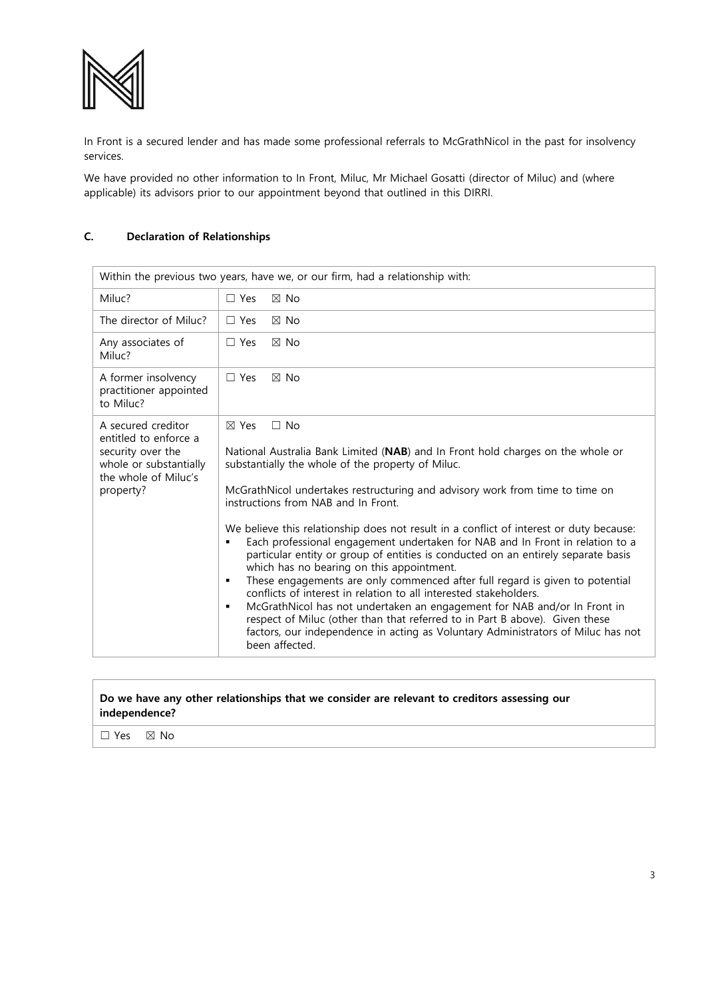

In Front is a secured lender and has made some professional referrals to McGrathNicol in the past for insolvency services.

We have provided no other information to In Front, Miluc, Mr Michael Gosatti (director of Miluc) and (where applicable) its advisors prior to our appointment beyond that outlined in this DIRRI.

## **C. Declaration of Relationships**

| Within the previous two years, have we, or our firm, had a relationship with:                                                   |                                                                                                                                                                                                                                                                                                                                                                                                                                                                                                                                                                                                                                                                                                                                                                                                                                                                                                                                                                                                                                           |
|---------------------------------------------------------------------------------------------------------------------------------|-------------------------------------------------------------------------------------------------------------------------------------------------------------------------------------------------------------------------------------------------------------------------------------------------------------------------------------------------------------------------------------------------------------------------------------------------------------------------------------------------------------------------------------------------------------------------------------------------------------------------------------------------------------------------------------------------------------------------------------------------------------------------------------------------------------------------------------------------------------------------------------------------------------------------------------------------------------------------------------------------------------------------------------------|
| Miluc?                                                                                                                          | $\boxtimes$ No<br>$\Box$ Yes                                                                                                                                                                                                                                                                                                                                                                                                                                                                                                                                                                                                                                                                                                                                                                                                                                                                                                                                                                                                              |
| The director of Miluc?                                                                                                          | $\Box$ Yes<br>$\boxtimes$ No                                                                                                                                                                                                                                                                                                                                                                                                                                                                                                                                                                                                                                                                                                                                                                                                                                                                                                                                                                                                              |
| Any associates of<br>Miluc?                                                                                                     | $\Box$ Yes<br>$\boxtimes$ No                                                                                                                                                                                                                                                                                                                                                                                                                                                                                                                                                                                                                                                                                                                                                                                                                                                                                                                                                                                                              |
| A former insolvency<br>practitioner appointed<br>to Miluc?                                                                      | $\Box$ Yes<br>$\boxtimes$ No                                                                                                                                                                                                                                                                                                                                                                                                                                                                                                                                                                                                                                                                                                                                                                                                                                                                                                                                                                                                              |
| A secured creditor<br>entitled to enforce a<br>security over the<br>whole or substantially<br>the whole of Miluc's<br>property? | $\boxtimes$ Yes<br>$\Box$ No<br>National Australia Bank Limited (NAB) and In Front hold charges on the whole or<br>substantially the whole of the property of Miluc.<br>McGrathNicol undertakes restructuring and advisory work from time to time on<br>instructions from NAB and In Front.<br>We believe this relationship does not result in a conflict of interest or duty because:<br>Each professional engagement undertaken for NAB and In Front in relation to a<br>particular entity or group of entities is conducted on an entirely separate basis<br>which has no bearing on this appointment.<br>These engagements are only commenced after full regard is given to potential<br>٠<br>conflicts of interest in relation to all interested stakeholders.<br>McGrathNicol has not undertaken an engagement for NAB and/or In Front in<br>٠<br>respect of Miluc (other than that referred to in Part B above). Given these<br>factors, our independence in acting as Voluntary Administrators of Miluc has not<br>been affected. |

## **Do we have any other relationships that we consider are relevant to creditors assessing our independence?**

☐ Yes ☒ No